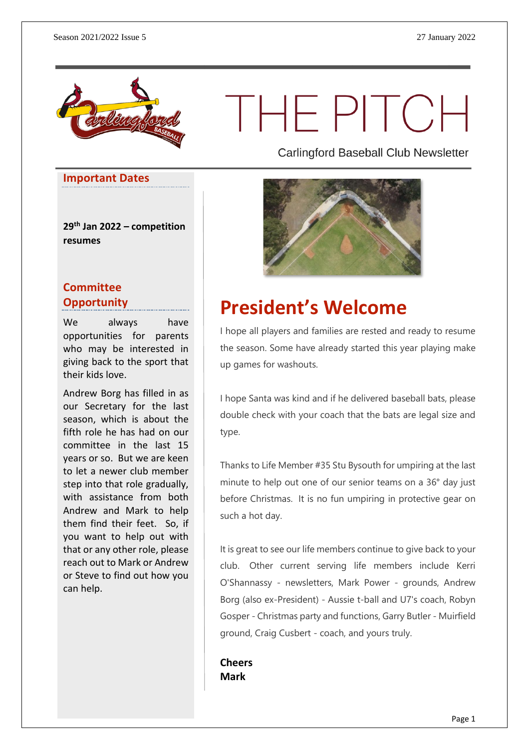

# THE PITCH

**Carlingford Baseball Club Newsletter** 

#### **Important Dates**

**29th Jan 2022 – competition resumes**

### **Committee Opportunity**

We always have opportunities for parents who may be interested in giving back to the sport that their kids love.

Andrew Borg has filled in as our Secretary for the last season, which is about the fifth role he has had on our committee in the last 15 years or so. But we are keen to let a newer club member step into that role gradually, with assistance from both Andrew and Mark to help them find their feet. So, if you want to help out with that or any other role, please reach out to Mark or Andrew or Steve to find out how you can help.



### **President's Welcome**

I hope all players and families are rested and ready to resume the season. Some have already started this year playing make up games for washouts.

I hope Santa was kind and if he delivered baseball bats, please double check with your coach that the bats are legal size and type.

Thanks to Life Member #35 Stu Bysouth for umpiring at the last minute to help out one of our senior teams on a 36° day just before Christmas. It is no fun umpiring in protective gear on such a hot day.

It is great to see our life members continue to give back to your club. Other current serving life members include Kerri O'Shannassy - newsletters, Mark Power - grounds, Andrew Borg (also ex-President) - Aussie t-ball and U7's coach, Robyn Gosper - Christmas party and functions, Garry Butler - Muirfield ground, Craig Cusbert - coach, and yours truly.

**Cheers Mark**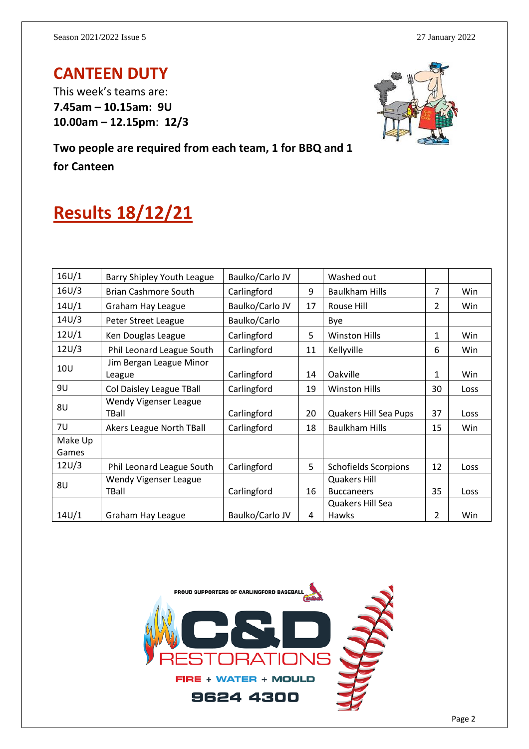### **CANTEEN DUTY**

This week's teams are: **7.45am – 10.15am: 9U 10.00am – 12.15pm**: **12/3**



**Two people are required from each team, 1 for BBQ and 1 for Canteen**

## **Results 18/12/21**

| 16U/1            | Barry Shipley Youth League        | Baulko/Carlo JV |    | Washed out                               |               |      |
|------------------|-----------------------------------|-----------------|----|------------------------------------------|---------------|------|
| 16U/3            | <b>Brian Cashmore South</b>       | Carlingford     | 9  | <b>Baulkham Hills</b>                    | 7             | Win  |
| 14U/1            | Graham Hay League                 | Baulko/Carlo JV | 17 | Rouse Hill                               | $\mathcal{P}$ | Win  |
| 14U/3            | Peter Street League               | Baulko/Carlo    |    | Bye                                      |               |      |
| 12U/1            | Ken Douglas League                | Carlingford     | 5  | <b>Winston Hills</b>                     | 1             | Win  |
| 12U/3            | Phil Leonard League South         | Carlingford     | 11 | Kellyville                               | 6             | Win  |
| 10 <sub>U</sub>  | Jim Bergan League Minor<br>League | Carlingford     | 14 | Oakville                                 | 1             | Win  |
| 9U               | Col Daisley League TBall          | Carlingford     | 19 | <b>Winston Hills</b>                     | 30            | Loss |
| 8U               | Wendy Vigenser League<br>TBall    | Carlingford     | 20 | Quakers Hill Sea Pups                    | 37            | Loss |
| 7U               | Akers League North TBall          | Carlingford     | 18 | <b>Baulkham Hills</b>                    | 15            | Win  |
| Make Up<br>Games |                                   |                 |    |                                          |               |      |
| 12U/3            | Phil Leonard League South         | Carlingford     | 5  | <b>Schofields Scorpions</b>              | 12            | Loss |
| 8U               | Wendy Vigenser League<br>TBall    | Carlingford     | 16 | <b>Quakers Hill</b><br><b>Buccaneers</b> | 35            | Loss |
|                  |                                   |                 |    | Quakers Hill Sea                         |               |      |
| 14U/1            | Graham Hay League                 | Baulko/Carlo JV | 4  | <b>Hawks</b>                             | $\mathcal{P}$ | Win  |

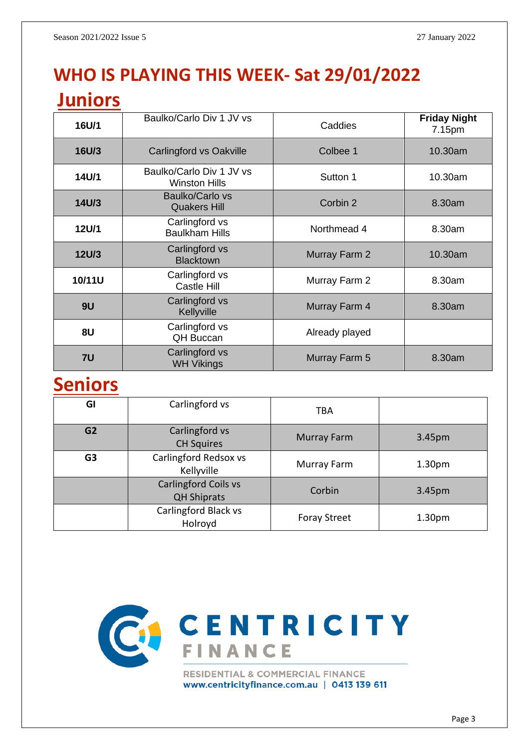### **WHO IS PLAYING THIS WEEK- Sat 29/01/2022**

| <b>Juniors</b> |                                                  |                         |                               |  |
|----------------|--------------------------------------------------|-------------------------|-------------------------------|--|
| 16U/1          | Baulko/Carlo Div 1 JV vs                         | Caddies                 | <b>Friday Night</b><br>7.15pm |  |
| <b>16U/3</b>   | Carlingford vs Oakville                          | Colbee 1                | 10.30am                       |  |
| 14U/1          | Baulko/Carlo Div 1 JV vs<br><b>Winston Hills</b> | Sutton 1                | 10.30am                       |  |
| 14U/3          | <b>Baulko/Carlo vs</b><br><b>Quakers Hill</b>    | Corbin 2                | 8.30am                        |  |
| 12U/1          | Carlingford vs<br><b>Baulkham Hills</b>          | Northmead 4             | 8.30am                        |  |
| <b>12U/3</b>   | Carlingford vs<br><b>Blacktown</b>               | Murray Farm 2           | 10.30am                       |  |
| 10/11U         | Carlingford vs<br>Castle Hill                    | Murray Farm 2           | 8.30am                        |  |
| 9U             | Carlingford vs<br>Kellyville                     | Murray Farm 4<br>8.30am |                               |  |
| 8U             | Carlingford vs<br><b>QH Buccan</b>               | Already played          |                               |  |
| 7U             | Carlingford vs<br><b>WH Vikings</b>              | Murray Farm 5<br>8.30am |                               |  |

### **Seniors**

| GI             | Carlingford vs                                    | <b>TBA</b>          |                    |
|----------------|---------------------------------------------------|---------------------|--------------------|
| G <sub>2</sub> | Carlingford vs<br><b>CH Squires</b>               | <b>Murray Farm</b>  | 3.45pm             |
| G <sub>3</sub> | Carlingford Redsox vs<br>Kellyville               | Murray Farm         | 1.30 <sub>pm</sub> |
|                | <b>Carlingford Coils vs</b><br><b>QH Shiprats</b> | Corbin              | 3.45pm             |
|                | Carlingford Black vs<br>Holroyd                   | <b>Foray Street</b> | 1.30 <sub>pm</sub> |



www.centricityfinance.com.au | 0413 139 611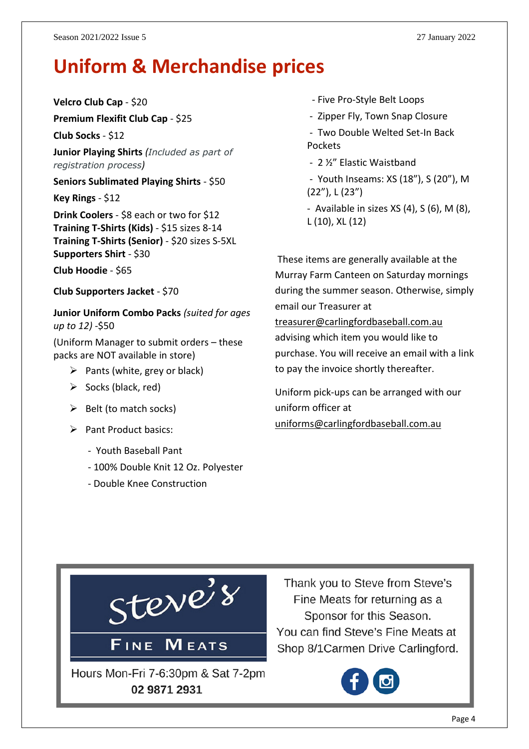### **Uniform & Merchandise prices**

**Velcro Club Cap** - \$20

**Premium Flexifit Club Cap** - \$25 **Club Socks** - \$12

**Junior Playing Shirts** *(Included as part of registration process)*

**Seniors Sublimated Playing Shirts** - \$50

**Key Rings** - \$12

**Drink Coolers** - \$8 each or two for \$12 **Training T-Shirts (Kids)** - \$15 sizes 8-14 **Training T-Shirts (Senior)** - \$20 sizes S-5XL **Supporters Shirt** - \$30

**Club Hoodie** - \$65

**Club Supporters Jacket** - \$70

**Junior Uniform Combo Packs** *(suited for ages up to 12)* -\$50

(Uniform Manager to submit orders – these packs are NOT available in store)

- $\triangleright$  Pants (white, grey or black)
- $\triangleright$  Socks (black, red)
- $\triangleright$  Belt (to match socks)
- ➢ Pant Product basics:
	- Youth Baseball Pant
	- 100% Double Knit 12 Oz. Polyester
	- Double Knee Construction
- Five Pro-Style Belt Loops
- Zipper Fly, Town Snap Closure
- Two Double Welted Set-In Back Pockets
- 2 ½" Elastic Waistband
- Youth Inseams: XS (18"), S (20"), M (22"), L (23")
- Available in sizes XS (4), S (6), M (8), L (10), XL (12)

These items are generally available at the Murray Farm Canteen on Saturday mornings during the summer season. Otherwise, simply email our Treasurer at

[treasurer@carlingfordbaseball.com.au](mailto:treasurer@carlingfordbaseball.com.au) advising which item you would like to purchase. You will receive an email with a link to pay the invoice shortly thereafter.

Uniform pick-ups can be arranged with our uniform officer at [uniforms@carlingfordbaseball.com.au](mailto:uniforms@carlingfordbaseball.com.au)



Thank you to Steve from Steve's Fine Meats for returning as a Sponsor for this Season. You can find Steve's Fine Meats at Shop 8/1 Carmen Drive Carlingford.

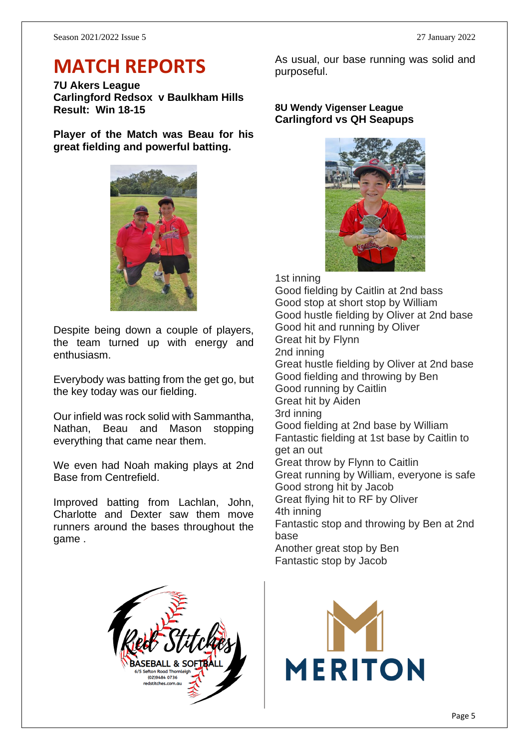### **MATCH REPORTS**

**7U Akers League Carlingford Redsox v Baulkham Hills Result: Win 18-15**

**Player of the Match was Beau for his great fielding and powerful batting.**



Despite being down a couple of players, the team turned up with energy and enthusiasm.

Everybody was batting from the get go, but the key today was our fielding.

Our infield was rock solid with Sammantha, Nathan, Beau and Mason stopping everything that came near them.

We even had Noah making plays at 2nd Base from Centrefield.

Improved batting from Lachlan, John, Charlotte and Dexter saw them move runners around the bases throughout the game .

As usual, our base running was solid and purposeful.

#### **8U Wendy Vigenser League Carlingford vs QH Seapups**



1st inning Good fielding by Caitlin at 2nd bass Good stop at short stop by William Good hustle fielding by Oliver at 2nd base Good hit and running by Oliver Great hit by Flynn 2nd inning Great hustle fielding by Oliver at 2nd base Good fielding and throwing by Ben Good running by Caitlin Great hit by Aiden 3rd inning Good fielding at 2nd base by William Fantastic fielding at 1st base by Caitlin to get an out Great throw by Flynn to Caitlin Great running by William, everyone is safe Good strong hit by Jacob Great flying hit to RF by Oliver 4th inning Fantastic stop and throwing by Ben at 2nd base Another great stop by Ben Fantastic stop by Jacob



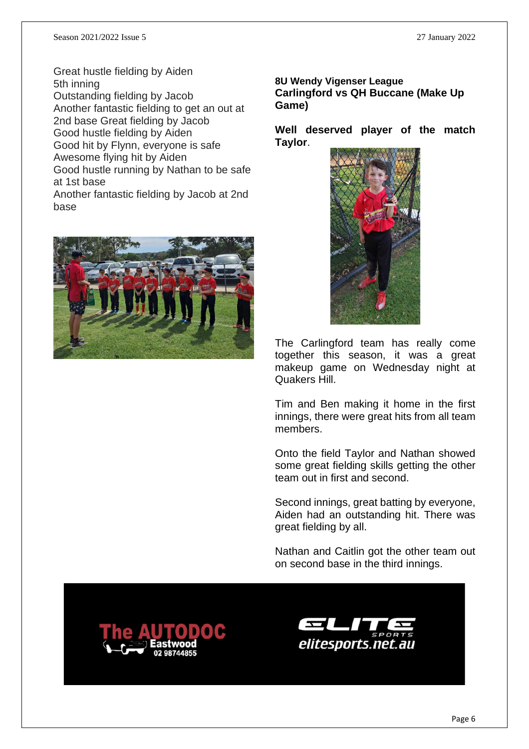base

Great hustle fielding by Aiden 5th inning Outstanding fielding by Jacob Another fantastic fielding to get an out at 2nd base Great fielding by Jacob Good hustle fielding by Aiden Good hit by Flynn, everyone is safe Awesome flying hit by Aiden Good hustle running by Nathan to be safe at 1st base Another fantastic fielding by Jacob at 2nd



#### **8U Wendy Vigenser League Carlingford vs QH Buccane (Make Up Game)**

**Well deserved player of the match Taylor**.



The Carlingford team has really come together this season, it was a great makeup game on Wednesday night at Quakers Hill.

Tim and Ben making it home in the first innings, there were great hits from all team members.

Onto the field Taylor and Nathan showed some great fielding skills getting the other team out in first and second.

Second innings, great batting by everyone, Aiden had an outstanding hit. There was great fielding by all.

Nathan and Caitlin got the other team out on second base in the third innings.



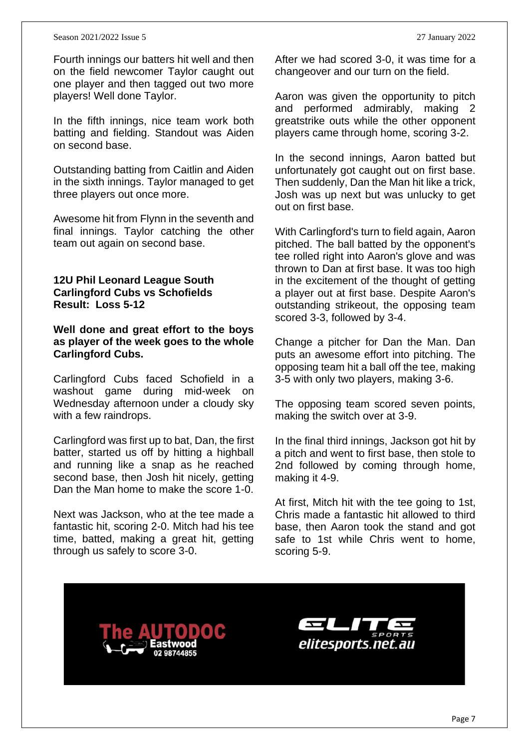#### Season 2021/2022 Issue 5 27 January 2022

Fourth innings our batters hit well and then on the field newcomer Taylor caught out one player and then tagged out two more players! Well done Taylor.

In the fifth innings, nice team work both batting and fielding. Standout was Aiden on second base.

Outstanding batting from Caitlin and Aiden in the sixth innings. Taylor managed to get three players out once more.

Awesome hit from Flynn in the seventh and final innings. Taylor catching the other team out again on second base.

#### **12U Phil Leonard League South Carlingford Cubs vs Schofields Result: Loss 5-12**

**Well done and great effort to the boys as player of the week goes to the whole Carlingford Cubs.**

Carlingford Cubs faced Schofield in a washout game during mid-week on Wednesday afternoon under a cloudy sky with a few raindrops.

Carlingford was first up to bat, Dan, the first batter, started us off by hitting a highball and running like a snap as he reached second base, then Josh hit nicely, getting Dan the Man home to make the score 1-0.

Next was Jackson, who at the tee made a fantastic hit, scoring 2-0. Mitch had his tee time, batted, making a great hit, getting through us safely to score 3-0.

After we had scored 3-0, it was time for a changeover and our turn on the field.

Aaron was given the opportunity to pitch and performed admirably, making 2 greatstrike outs while the other opponent players came through home, scoring 3-2.

In the second innings, Aaron batted but unfortunately got caught out on first base. Then suddenly, Dan the Man hit like a trick, Josh was up next but was unlucky to get out on first base.

With Carlingford's turn to field again, Aaron pitched. The ball batted by the opponent's tee rolled right into Aaron's glove and was thrown to Dan at first base. It was too high in the excitement of the thought of getting a player out at first base. Despite Aaron's outstanding strikeout, the opposing team scored 3-3, followed by 3-4.

Change a pitcher for Dan the Man. Dan puts an awesome effort into pitching. The opposing team hit a ball off the tee, making 3-5 with only two players, making 3-6.

The opposing team scored seven points, making the switch over at 3-9.

In the final third innings, Jackson got hit by a pitch and went to first base, then stole to 2nd followed by coming through home, making it 4-9.

At first, Mitch hit with the tee going to 1st, Chris made a fantastic hit allowed to third base, then Aaron took the stand and got safe to 1st while Chris went to home, scoring 5-9.